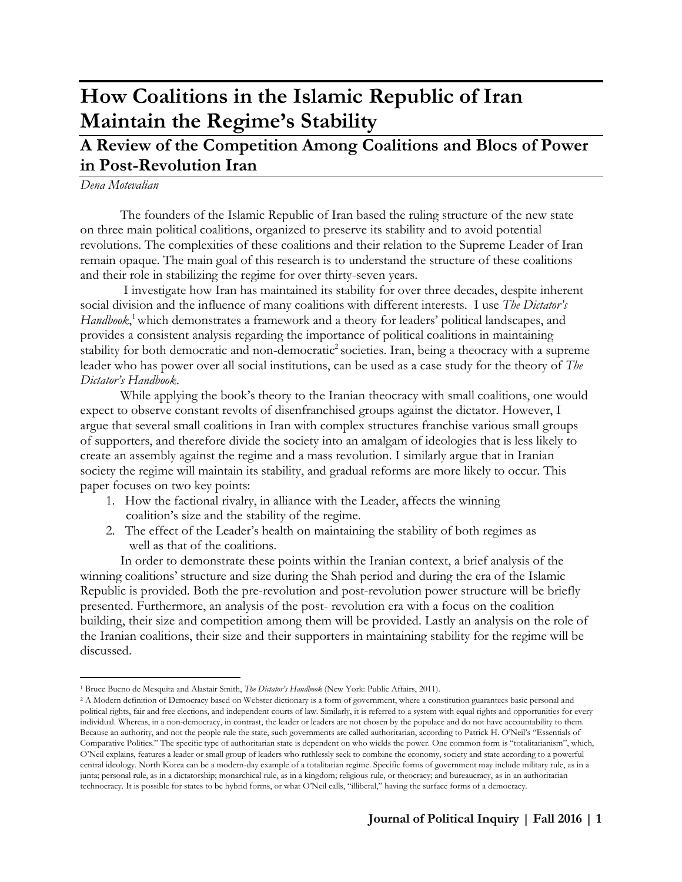# **How Coalitions in the Islamic Republic of Iran Maintain the Regime's Stability**

# **A Review of the Competition Among Coalitions and Blocs of Power in Post-Revolution Iran**

*Dena Motevalian*

The founders of the Islamic Republic of Iran based the ruling structure of the new state on three main political coalitions, organized to preserve its stability and to avoid potential revolutions. The complexities of these coalitions and their relation to the Supreme Leader of Iran remain opaque. The main goal of this research is to understand the structure of these coalitions and their role in stabilizing the regime for over thirty-seven years.

I investigate how Iran has maintained its stability for over three decades, despite inherent social division and the influence of many coalitions with different interests. I use *The Dictator's*  Handbook,<sup>1</sup> which demonstrates a framework and a theory for leaders' political landscapes, and provides a consistent analysis regarding the importance of political coalitions in maintaining stability for both democratic and non-democratic<sup>2</sup> societies. Iran, being a theocracy with a supreme leader who has power over all social institutions, can be used as a case study for the theory of *The Dictator's Handbook*.

While applying the book's theory to the Iranian theocracy with small coalitions, one would expect to observe constant revolts of disenfranchised groups against the dictator. However, I argue that several small coalitions in Iran with complex structures franchise various small groups of supporters, and therefore divide the society into an amalgam of ideologies that is less likely to create an assembly against the regime and a mass revolution. I similarly argue that in Iranian society the regime will maintain its stability, and gradual reforms are more likely to occur. This paper focuses on two key points:

- 1. How the factional rivalry, in alliance with the Leader, affects the winning coalition's size and the stability of the regime.
- 2. The effect of the Leader's health on maintaining the stability of both regimes as well as that of the coalitions.

In order to demonstrate these points within the Iranian context, a brief analysis of the winning coalitions' structure and size during the Shah period and during the era of the Islamic Republic is provided. Both the pre-revolution and post-revolution power structure will be briefly presented. Furthermore, an analysis of the post- revolution era with a focus on the coalition building, their size and competition among them will be provided. Lastly an analysis on the role of the Iranian coalitions, their size and their supporters in maintaining stability for the regime will be discussed.

 $\overline{a}$ <sup>1</sup> Bruce Bueno de Mesquita and Alastair Smith, *The Dictator's Handbook* (New York: Public Affairs, 2011).

<sup>&</sup>lt;sup>2</sup> A Modern definition of Democracy based on Webster dictionary is a form of government, where a constitution guarantees basic personal and political rights, fair and free elections, and independent courts of law. Similarly, it is referred to a system with equal rights and opportunities for every individual. Whereas, in a non-democracy, in contrast, the leader or leaders are not chosen by the populace and do not have accountability to them. Because an authority, and not the people rule the state, such governments are called authoritarian, according to Patrick H. O'Neil's "Essentials of Comparative Politics." The specific type of authoritarian state is dependent on who wields the power. One common form is "totalitarianism", which, O'Neil explains, features a leader or small group of leaders who ruthlessly seek to combine the economy, society and state according to a powerful central ideology. North Korea can be a modern-day example of a totalitarian regime. Specific forms of government may include military rule, as in a junta; personal rule, as in a dictatorship; monarchical rule, as in a kingdom; religious rule, or theocracy; and bureaucracy, as in an authoritarian technocracy. It is possible for states to be hybrid forms, or what O'Neil calls, "illiberal," having the surface forms of a democracy.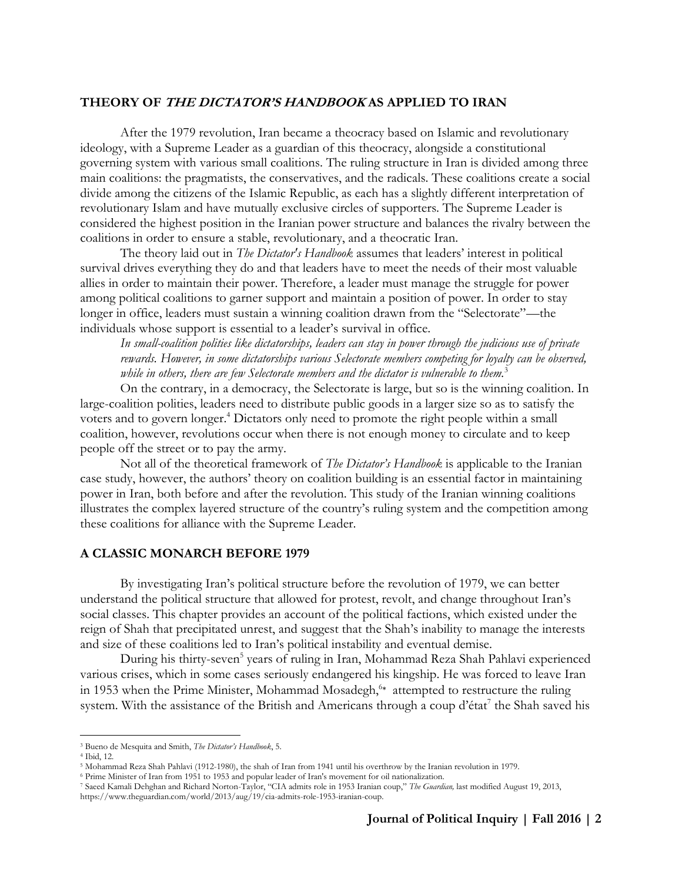#### **THEORY OF THE DICTATOR'S HANDBOOK AS APPLIED TO IRAN**

After the 1979 revolution, Iran became a theocracy based on Islamic and revolutionary ideology, with a Supreme Leader as a guardian of this theocracy, alongside a constitutional governing system with various small coalitions. The ruling structure in Iran is divided among three main coalitions: the pragmatists, the conservatives, and the radicals. These coalitions create a social divide among the citizens of the Islamic Republic, as each has a slightly different interpretation of revolutionary Islam and have mutually exclusive circles of supporters. The Supreme Leader is considered the highest position in the Iranian power structure and balances the rivalry between the coalitions in order to ensure a stable, revolutionary, and a theocratic Iran.

The theory laid out in *The Dictator's Handbook* assumes that leaders' interest in political survival drives everything they do and that leaders have to meet the needs of their most valuable allies in order to maintain their power. Therefore, a leader must manage the struggle for power among political coalitions to garner support and maintain a position of power. In order to stay longer in office, leaders must sustain a winning coalition drawn from the "Selectorate"—the individuals whose support is essential to a leader's survival in office.

*In small-coalition polities like dictatorships, leaders can stay in power through the judicious use of private rewards. However, in some dictatorships various Selectorate members competing for loyalty can be observed, while in others, there are few Selectorate members and the dictator is vulnerable to them.*<sup>3</sup>

On the contrary, in a democracy, the Selectorate is large, but so is the winning coalition. In large-coalition polities, leaders need to distribute public goods in a larger size so as to satisfy the voters and to govern longer.<sup>4</sup> Dictators only need to promote the right people within a small coalition, however, revolutions occur when there is not enough money to circulate and to keep people off the street or to pay the army.

Not all of the theoretical framework of *The Dictator's Handbook* is applicable to the Iranian case study, however, the authors' theory on coalition building is an essential factor in maintaining power in Iran, both before and after the revolution. This study of the Iranian winning coalitions illustrates the complex layered structure of the country's ruling system and the competition among these coalitions for alliance with the Supreme Leader.

#### **A CLASSIC MONARCH BEFORE 1979**

By investigating Iran's political structure before the revolution of 1979, we can better understand the political structure that allowed for protest, revolt, and change throughout Iran's social classes. This chapter provides an account of the political factions, which existed under the reign of Shah that precipitated unrest, and suggest that the Shah's inability to manage the interests and size of these coalitions led to Iran's political instability and eventual demise.

During his thirty-seven<sup>5</sup> years of ruling in Iran, Mohammad Reza Shah Pahlavi experienced various crises, which in some cases seriously endangered his kingship. He was forced to leave Iran in 1953 when the Prime Minister, Mohammad Mosadegh,<sup>6∗</sup> attempted to restructure the ruling system. With the assistance of the British and Americans through a coup d'état<sup>7</sup> the Shah saved his

<sup>3</sup> Bueno de Mesquita and Smith, *The Dictator's Handbook*, 5.

<sup>4</sup> Ibid, 12.

<sup>5</sup> Mohammad Reza Shah Pahlavi (1912-1980), the shah of Iran from 1941 until his overthrow by the Iranian revolution in 1979.

<sup>6</sup> Prime Minister of Iran from 1951 to 1953 and popular leader of Iran's movement for oil nationalization.

<sup>7</sup> Saeed Kamali Dehghan and Richard Norton-Taylor, "CIA admits role in 1953 Iranian coup," *The Guardian,* last modified August 19, 2013, https://www.theguardian.com/world/2013/aug/19/cia-admits-role-1953-iranian-coup.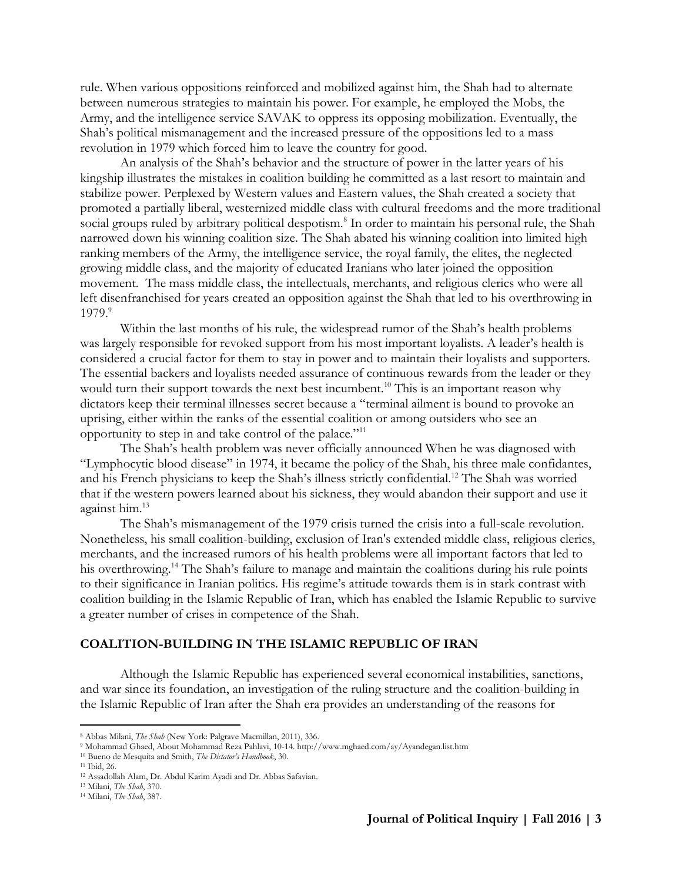rule. When various oppositions reinforced and mobilized against him, the Shah had to alternate between numerous strategies to maintain his power. For example, he employed the Mobs, the Army, and the intelligence service SAVAK to oppress its opposing mobilization. Eventually, the Shah's political mismanagement and the increased pressure of the oppositions led to a mass revolution in 1979 which forced him to leave the country for good.

An analysis of the Shah's behavior and the structure of power in the latter years of his kingship illustrates the mistakes in coalition building he committed as a last resort to maintain and stabilize power. Perplexed by Western values and Eastern values, the Shah created a society that promoted a partially liberal, westernized middle class with cultural freedoms and the more traditional social groups ruled by arbitrary political despotism.<sup>8</sup> In order to maintain his personal rule, the Shah narrowed down his winning coalition size. The Shah abated his winning coalition into limited high ranking members of the Army, the intelligence service, the royal family, the elites, the neglected growing middle class, and the majority of educated Iranians who later joined the opposition movement. The mass middle class, the intellectuals, merchants, and religious clerics who were all left disenfranchised for years created an opposition against the Shah that led to his overthrowing in 1979.<sup>9</sup>

Within the last months of his rule, the widespread rumor of the Shah's health problems was largely responsible for revoked support from his most important loyalists. A leader's health is considered a crucial factor for them to stay in power and to maintain their loyalists and supporters. The essential backers and loyalists needed assurance of continuous rewards from the leader or they would turn their support towards the next best incumbent.<sup>10</sup> This is an important reason why dictators keep their terminal illnesses secret because a "terminal ailment is bound to provoke an uprising, either within the ranks of the essential coalition or among outsiders who see an opportunity to step in and take control of the palace."<sup>11</sup>

The Shah's health problem was never officially announced When he was diagnosed with "Lymphocytic blood disease" in 1974, it became the policy of the Shah, his three male confidantes, and his French physicians to keep the Shah's illness strictly confidential.<sup>12</sup> The Shah was worried that if the western powers learned about his sickness, they would abandon their support and use it against him.<sup>13</sup>

The Shah's mismanagement of the 1979 crisis turned the crisis into a full-scale revolution. Nonetheless, his small coalition-building, exclusion of Iran's extended middle class, religious clerics, merchants, and the increased rumors of his health problems were all important factors that led to his overthrowing.<sup>14</sup> The Shah's failure to manage and maintain the coalitions during his rule points to their significance in Iranian politics. His regime's attitude towards them is in stark contrast with coalition building in the Islamic Republic of Iran, which has enabled the Islamic Republic to survive a greater number of crises in competence of the Shah.

### **COALITION-BUILDING IN THE ISLAMIC REPUBLIC OF IRAN**

Although the Islamic Republic has experienced several economical instabilities, sanctions, and war since its foundation, an investigation of the ruling structure and the coalition-building in the Islamic Republic of Iran after the Shah era provides an understanding of the reasons for

<sup>8</sup> Abbas Milani, *The Shah* (New York: Palgrave Macmillan, 2011), 336.

<sup>9</sup> Mohammad Ghaed, About Mohammad Reza Pahlavi, 10-14. http://www.mghaed.com/ay/Ayandegan.list.htm

<sup>10</sup> Bueno de Mesquita and Smith, *The Dictator's Handbook*, 30.

<sup>11</sup> Ibid, 26.

<sup>12</sup> Assadollah Alam, Dr. Abdul Karim Ayadi and Dr. Abbas Safavian.

<sup>13</sup> Milani, *The Shah*, 370.

<sup>14</sup> Milani, *The Shah*, 387.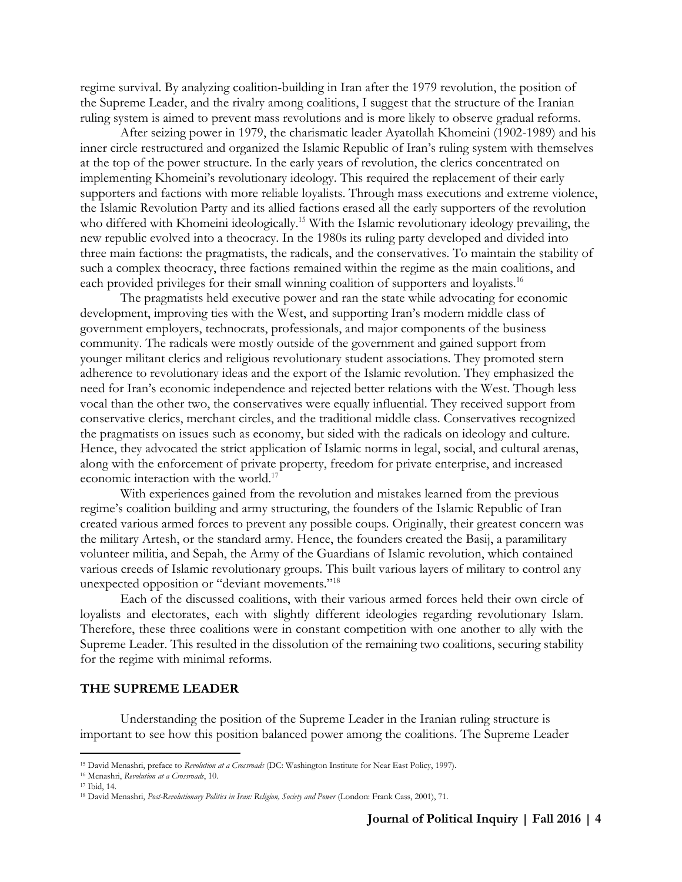regime survival. By analyzing coalition-building in Iran after the 1979 revolution, the position of the Supreme Leader, and the rivalry among coalitions, I suggest that the structure of the Iranian ruling system is aimed to prevent mass revolutions and is more likely to observe gradual reforms.

After seizing power in 1979, the charismatic leader Ayatollah Khomeini (1902-1989) and his inner circle restructured and organized the Islamic Republic of Iran's ruling system with themselves at the top of the power structure. In the early years of revolution, the clerics concentrated on implementing Khomeini's revolutionary ideology. This required the replacement of their early supporters and factions with more reliable loyalists. Through mass executions and extreme violence, the Islamic Revolution Party and its allied factions erased all the early supporters of the revolution who differed with Khomeini ideologically.<sup>15</sup> With the Islamic revolutionary ideology prevailing, the new republic evolved into a theocracy. In the 1980s its ruling party developed and divided into three main factions: the pragmatists, the radicals, and the conservatives. To maintain the stability of such a complex theocracy, three factions remained within the regime as the main coalitions, and each provided privileges for their small winning coalition of supporters and loyalists.<sup>16</sup>

The pragmatists held executive power and ran the state while advocating for economic development, improving ties with the West, and supporting Iran's modern middle class of government employers, technocrats, professionals, and major components of the business community. The radicals were mostly outside of the government and gained support from younger militant clerics and religious revolutionary student associations. They promoted stern adherence to revolutionary ideas and the export of the Islamic revolution. They emphasized the need for Iran's economic independence and rejected better relations with the West. Though less vocal than the other two, the conservatives were equally influential. They received support from conservative clerics, merchant circles, and the traditional middle class. Conservatives recognized the pragmatists on issues such as economy, but sided with the radicals on ideology and culture. Hence, they advocated the strict application of Islamic norms in legal, social, and cultural arenas, along with the enforcement of private property, freedom for private enterprise, and increased economic interaction with the world.<sup>17</sup>

With experiences gained from the revolution and mistakes learned from the previous regime's coalition building and army structuring, the founders of the Islamic Republic of Iran created various armed forces to prevent any possible coups. Originally, their greatest concern was the military Artesh, or the standard army. Hence, the founders created the Basij, a paramilitary volunteer militia, and Sepah, the Army of the Guardians of Islamic revolution, which contained various creeds of Islamic revolutionary groups. This built various layers of military to control any unexpected opposition or "deviant movements."<sup>18</sup>

Each of the discussed coalitions, with their various armed forces held their own circle of loyalists and electorates, each with slightly different ideologies regarding revolutionary Islam. Therefore, these three coalitions were in constant competition with one another to ally with the Supreme Leader. This resulted in the dissolution of the remaining two coalitions, securing stability for the regime with minimal reforms.

#### **THE SUPREME LEADER**

Understanding the position of the Supreme Leader in the Iranian ruling structure is important to see how this position balanced power among the coalitions. The Supreme Leader

<sup>15</sup> David Menashri, preface to *Revolution at a Crossroads* (DC: Washington Institute for Near East Policy, 1997).

<sup>16</sup> Menashri, *Revolution at a Crossroads*, 10.

<sup>17</sup> Ibid, 14.

<sup>18</sup> David Menashri, *Post-Revolutionary Politics in Iran: Religion, Society and Power* (London: Frank Cass, 2001), 71.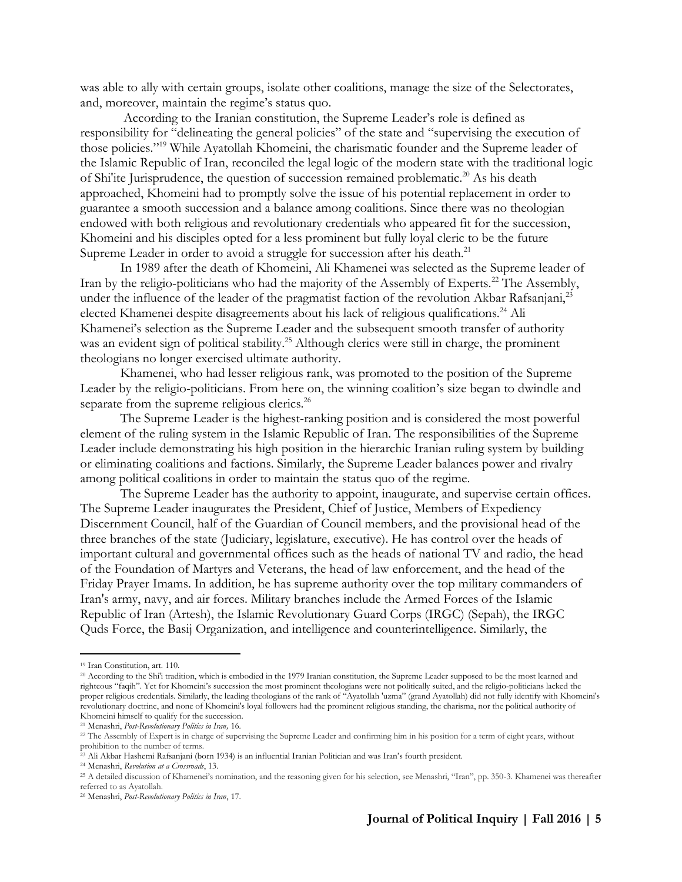was able to ally with certain groups, isolate other coalitions, manage the size of the Selectorates, and, moreover, maintain the regime's status quo.

According to the Iranian constitution, the Supreme Leader's role is defined as responsibility for "delineating the general policies" of the state and "supervising the execution of those policies."<sup>19</sup> While Ayatollah Khomeini, the charismatic founder and the Supreme leader of the Islamic Republic of Iran, reconciled the legal logic of the modern state with the traditional logic of Shi'ite Jurisprudence, the question of succession remained problematic.<sup>20</sup> As his death approached, Khomeini had to promptly solve the issue of his potential replacement in order to guarantee a smooth succession and a balance among coalitions. Since there was no theologian endowed with both religious and revolutionary credentials who appeared fit for the succession, Khomeini and his disciples opted for a less prominent but fully loyal cleric to be the future Supreme Leader in order to avoid a struggle for succession after his death.<sup>21</sup>

In 1989 after the death of Khomeini, Ali Khamenei was selected as the Supreme leader of Iran by the religio-politicians who had the majority of the Assembly of Experts.<sup>22</sup> The Assembly, under the influence of the leader of the pragmatist faction of the revolution Akbar Rafsanjani,<sup>23</sup> elected Khamenei despite disagreements about his lack of religious qualifications.<sup>24</sup> Ali Khamenei's selection as the Supreme Leader and the subsequent smooth transfer of authority was an evident sign of political stability.<sup>25</sup> Although clerics were still in charge, the prominent theologians no longer exercised ultimate authority.

Khamenei, who had lesser religious rank, was promoted to the position of the Supreme Leader by the religio-politicians. From here on, the winning coalition's size began to dwindle and separate from the supreme religious clerics.<sup>26</sup>

The Supreme Leader is the highest-ranking position and is considered the most powerful element of the ruling system in the Islamic Republic of Iran. The responsibilities of the Supreme Leader include demonstrating his high position in the hierarchic Iranian ruling system by building or eliminating coalitions and factions. Similarly, the Supreme Leader balances power and rivalry among political coalitions in order to maintain the status quo of the regime.

The Supreme Leader has the authority to appoint, inaugurate, and supervise certain offices. The Supreme Leader inaugurates the President, Chief of Justice, Members of Expediency Discernment Council, half of the Guardian of Council members, and the provisional head of the three branches of the state (Judiciary, legislature, executive). He has control over the heads of important cultural and governmental offices such as the heads of national TV and radio, the head of the Foundation of Martyrs and Veterans, the head of law enforcement, and the head of the Friday Prayer Imams. In addition, he has supreme authority over the top military commanders of Iran's army, navy, and air forces. Military branches include the Armed Forces of the Islamic Republic of Iran (Artesh), the Islamic Revolutionary Guard Corps (IRGC) (Sepah), the IRGC Quds Force, the Basij Organization, and intelligence and counterintelligence. Similarly, the

<sup>19</sup> Iran Constitution, art. 110.

<sup>20</sup> According to the Shi'i tradition, which is embodied in the 1979 Iranian constitution, the Supreme Leader supposed to be the most learned and righteous "faqih". Yet for Khomeini's succession the most prominent theologians were not politically suited, and the religio-politicians lacked the proper religious credentials. Similarly, the leading theologians of the rank of "Ayatollah 'uzma" (grand Ayatollah) did not fully identify with Khomeini's revolutionary doctrine, and none of Khomeini's loyal followers had the prominent religious standing, the charisma, nor the political authority of Khomeini himself to qualify for the succession.

<sup>21</sup> Menashri, *Post-Revolutionary Politics in Iran,* 16.

<sup>&</sup>lt;sup>22</sup> The Assembly of Expert is in charge of supervising the Supreme Leader and confirming him in his position for a term of eight years, without prohibition to the number of terms.

<sup>23</sup> Ali Akbar Hashemi Rafsanjani (born 1934) is an influential Iranian Politician and was Iran's fourth president.

<sup>24</sup> Menashri, *Revolution at a Crossroads*, 13.

<sup>25</sup> A detailed discussion of Khamenei's nomination, and the reasoning given for his selection, see Menashri, "Iran", pp. 350-3. Khamenei was thereafter referred to as Ayatollah.

<sup>26</sup> Menashri, *Post-Revolutionary Politics in Iran*, 17.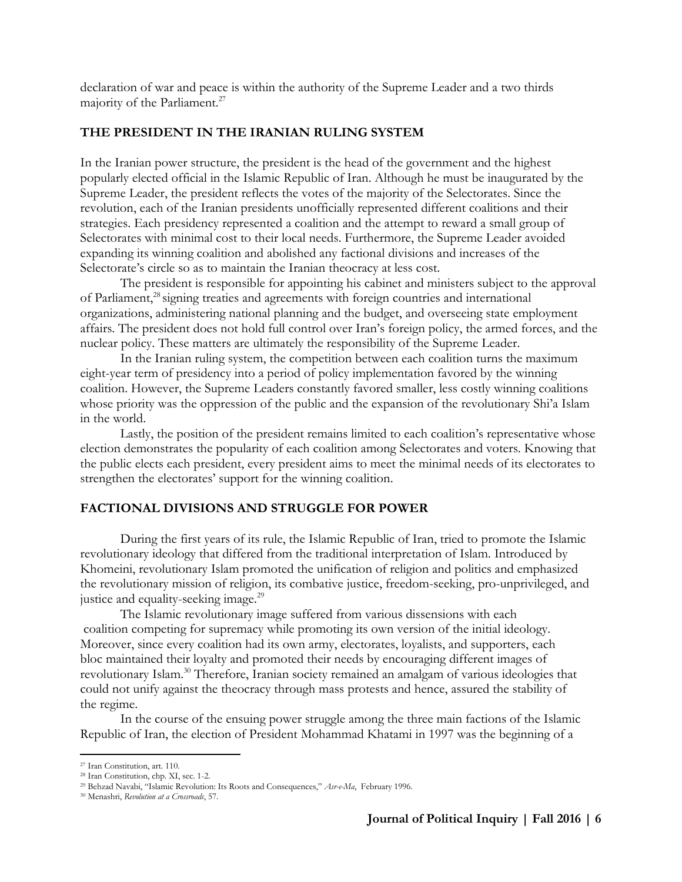declaration of war and peace is within the authority of the Supreme Leader and a two thirds majority of the Parliament.<sup>27</sup>

## **THE PRESIDENT IN THE IRANIAN RULING SYSTEM**

In the Iranian power structure, the president is the head of the government and the highest popularly elected official in the Islamic Republic of Iran. Although he must be inaugurated by the Supreme Leader, the president reflects the votes of the majority of the Selectorates. Since the revolution, each of the Iranian presidents unofficially represented different coalitions and their strategies. Each presidency represented a coalition and the attempt to reward a small group of Selectorates with minimal cost to their local needs. Furthermore, the Supreme Leader avoided expanding its winning coalition and abolished any factional divisions and increases of the Selectorate's circle so as to maintain the Iranian theocracy at less cost.

The president is responsible for appointing his cabinet and ministers subject to the approval of Parliament,<sup>28</sup> signing treaties and agreements with foreign countries and international organizations, administering national planning and the budget, and overseeing state employment affairs. The president does not hold full control over Iran's foreign policy, the armed forces, and the nuclear policy. These matters are ultimately the responsibility of the Supreme Leader.

In the Iranian ruling system, the competition between each coalition turns the maximum eight-year term of presidency into a period of policy implementation favored by the winning coalition. However, the Supreme Leaders constantly favored smaller, less costly winning coalitions whose priority was the oppression of the public and the expansion of the revolutionary Shi'a Islam in the world.

Lastly, the position of the president remains limited to each coalition's representative whose election demonstrates the popularity of each coalition among Selectorates and voters. Knowing that the public elects each president, every president aims to meet the minimal needs of its electorates to strengthen the electorates' support for the winning coalition.

# **FACTIONAL DIVISIONS AND STRUGGLE FOR POWER**

During the first years of its rule, the Islamic Republic of Iran, tried to promote the Islamic revolutionary ideology that differed from the traditional interpretation of Islam. Introduced by Khomeini, revolutionary Islam promoted the unification of religion and politics and emphasized the revolutionary mission of religion, its combative justice, freedom-seeking, pro-unprivileged, and justice and equality-seeking image.<sup>29</sup>

The Islamic revolutionary image suffered from various dissensions with each coalition competing for supremacy while promoting its own version of the initial ideology. Moreover, since every coalition had its own army, electorates, loyalists, and supporters, each bloc maintained their loyalty and promoted their needs by encouraging different images of revolutionary Islam.<sup>30</sup> Therefore, Iranian society remained an amalgam of various ideologies that could not unify against the theocracy through mass protests and hence, assured the stability of the regime.

In the course of the ensuing power struggle among the three main factions of the Islamic Republic of Iran, the election of President Mohammad Khatami in 1997 was the beginning of a

<sup>27</sup> Iran Constitution, art. 110.

<sup>28</sup> Iran Constitution, chp. XI, sec. 1-2.

<sup>29</sup> Behzad Navabi, "Islamic Revolution: Its Roots and Consequences," *Asr-e-Ma*, February 1996.

<sup>30</sup> Menashri, *Revolution at a Crossroads*, 57.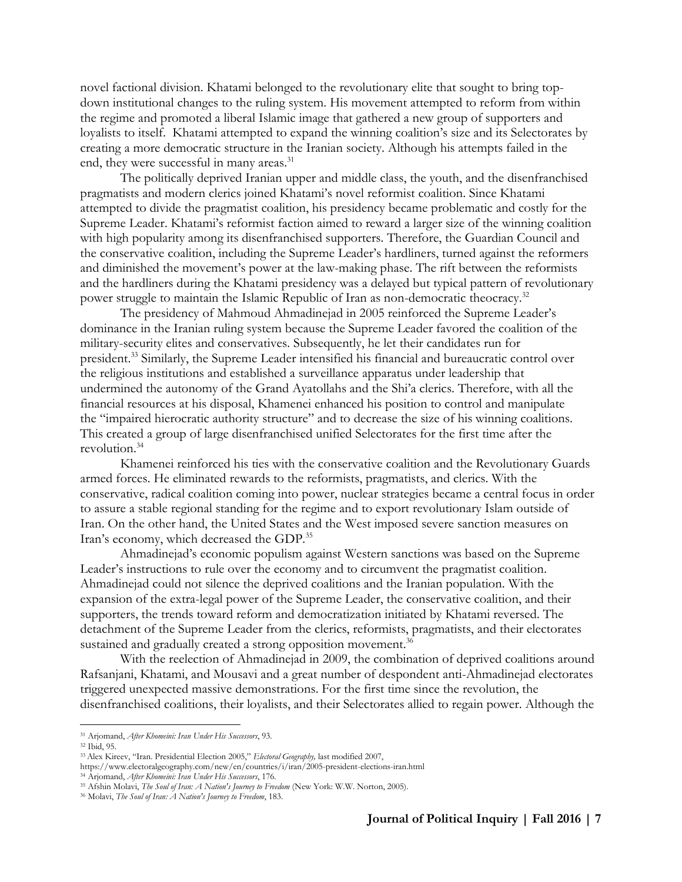novel factional division. Khatami belonged to the revolutionary elite that sought to bring topdown institutional changes to the ruling system. His movement attempted to reform from within the regime and promoted a liberal Islamic image that gathered a new group of supporters and loyalists to itself. Khatami attempted to expand the winning coalition's size and its Selectorates by creating a more democratic structure in the Iranian society. Although his attempts failed in the end, they were successful in many areas.<sup>31</sup>

The politically deprived Iranian upper and middle class, the youth, and the disenfranchised pragmatists and modern clerics joined Khatami's novel reformist coalition. Since Khatami attempted to divide the pragmatist coalition, his presidency became problematic and costly for the Supreme Leader. Khatami's reformist faction aimed to reward a larger size of the winning coalition with high popularity among its disenfranchised supporters. Therefore, the Guardian Council and the conservative coalition, including the Supreme Leader's hardliners, turned against the reformers and diminished the movement's power at the law-making phase. The rift between the reformists and the hardliners during the Khatami presidency was a delayed but typical pattern of revolutionary power struggle to maintain the Islamic Republic of Iran as non-democratic theocracy.<sup>32</sup>

The presidency of Mahmoud Ahmadinejad in 2005 reinforced the Supreme Leader's dominance in the Iranian ruling system because the Supreme Leader favored the coalition of the military-security elites and conservatives. Subsequently, he let their candidates run for president.<sup>33</sup> Similarly, the Supreme Leader intensified his financial and bureaucratic control over the religious institutions and established a surveillance apparatus under leadership that undermined the autonomy of the Grand Ayatollahs and the Shi'a clerics. Therefore, with all the financial resources at his disposal, Khamenei enhanced his position to control and manipulate the "impaired hierocratic authority structure" and to decrease the size of his winning coalitions. This created a group of large disenfranchised unified Selectorates for the first time after the revolution.<sup>34</sup>

Khamenei reinforced his ties with the conservative coalition and the Revolutionary Guards armed forces. He eliminated rewards to the reformists, pragmatists, and clerics. With the conservative, radical coalition coming into power, nuclear strategies became a central focus in order to assure a stable regional standing for the regime and to export revolutionary Islam outside of Iran. On the other hand, the United States and the West imposed severe sanction measures on Iran's economy, which decreased the GDP.<sup>35</sup>

Ahmadinejad's economic populism against Western sanctions was based on the Supreme Leader's instructions to rule over the economy and to circumvent the pragmatist coalition. Ahmadinejad could not silence the deprived coalitions and the Iranian population. With the expansion of the extra-legal power of the Supreme Leader, the conservative coalition, and their supporters, the trends toward reform and democratization initiated by Khatami reversed. The detachment of the Supreme Leader from the clerics, reformists, pragmatists, and their electorates sustained and gradually created a strong opposition movement.<sup>36</sup>

With the reelection of Ahmadinejad in 2009, the combination of deprived coalitions around Rafsanjani, Khatami, and Mousavi and a great number of despondent anti-Ahmadinejad electorates triggered unexpected massive demonstrations. For the first time since the revolution, the disenfranchised coalitions, their loyalists, and their Selectorates allied to regain power. Although the

<sup>31</sup> Arjomand, *After Khomeini: Iran Under His Successors*, 93.

<sup>32</sup> Ibid, 95.

<sup>33</sup>Alex Kireev, "Iran. Presidential Election 2005," *Electoral Geography,* last modified 2007,

https:[//www.electoralgeography.com/new/en/countries/i/iran/2005-president-elections-iran.html](http://www.electoralgeography.com/new/en/countries/i/iran/2005-president-elections-iran.html)

<sup>34</sup> Arjomand, *After Khomeini: Iran Under His Successors*, 176.

<sup>35</sup> Afshin Molavi, *The Soul of Iran: A Nation's Journey to Freedom* (New York: W.W. Norton, 2005).

<sup>36</sup> Molavi, *The Soul of Iran: A Nation's Journey to Freedom*, 183.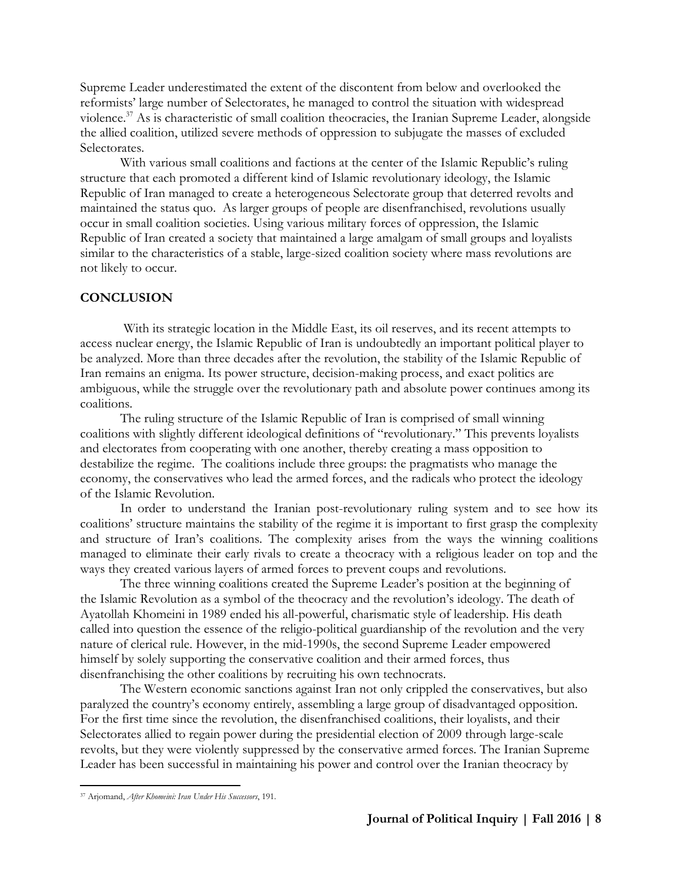Supreme Leader underestimated the extent of the discontent from below and overlooked the reformists' large number of Selectorates, he managed to control the situation with widespread violence.<sup>37</sup> As is characteristic of small coalition theocracies, the Iranian Supreme Leader, alongside the allied coalition, utilized severe methods of oppression to subjugate the masses of excluded Selectorates.

With various small coalitions and factions at the center of the Islamic Republic's ruling structure that each promoted a different kind of Islamic revolutionary ideology, the Islamic Republic of Iran managed to create a heterogeneous Selectorate group that deterred revolts and maintained the status quo. As larger groups of people are disenfranchised, revolutions usually occur in small coalition societies. Using various military forces of oppression, the Islamic Republic of Iran created a society that maintained a large amalgam of small groups and loyalists similar to the characteristics of a stable, large-sized coalition society where mass revolutions are not likely to occur.

#### **CONCLUSION**

With its strategic location in the Middle East, its oil reserves, and its recent attempts to access nuclear energy, the Islamic Republic of Iran is undoubtedly an important political player to be analyzed. More than three decades after the revolution, the stability of the Islamic Republic of Iran remains an enigma. Its power structure, decision-making process, and exact politics are ambiguous, while the struggle over the revolutionary path and absolute power continues among its coalitions.

The ruling structure of the Islamic Republic of Iran is comprised of small winning coalitions with slightly different ideological definitions of "revolutionary." This prevents loyalists and electorates from cooperating with one another, thereby creating a mass opposition to destabilize the regime. The coalitions include three groups: the pragmatists who manage the economy, the conservatives who lead the armed forces, and the radicals who protect the ideology of the Islamic Revolution.

In order to understand the Iranian post-revolutionary ruling system and to see how its coalitions' structure maintains the stability of the regime it is important to first grasp the complexity and structure of Iran's coalitions. The complexity arises from the ways the winning coalitions managed to eliminate their early rivals to create a theocracy with a religious leader on top and the ways they created various layers of armed forces to prevent coups and revolutions.

The three winning coalitions created the Supreme Leader's position at the beginning of the Islamic Revolution as a symbol of the theocracy and the revolution's ideology. The death of Ayatollah Khomeini in 1989 ended his all-powerful, charismatic style of leadership. His death called into question the essence of the religio-political guardianship of the revolution and the very nature of clerical rule. However, in the mid-1990s, the second Supreme Leader empowered himself by solely supporting the conservative coalition and their armed forces, thus disenfranchising the other coalitions by recruiting his own technocrats.

The Western economic sanctions against Iran not only crippled the conservatives, but also paralyzed the country's economy entirely, assembling a large group of disadvantaged opposition. For the first time since the revolution, the disenfranchised coalitions, their loyalists, and their Selectorates allied to regain power during the presidential election of 2009 through large-scale revolts, but they were violently suppressed by the conservative armed forces. The Iranian Supreme Leader has been successful in maintaining his power and control over the Iranian theocracy by

 $\overline{a}$ <sup>37</sup> Arjomand, *After Khomeini: Iran Under His Successors*, 191.